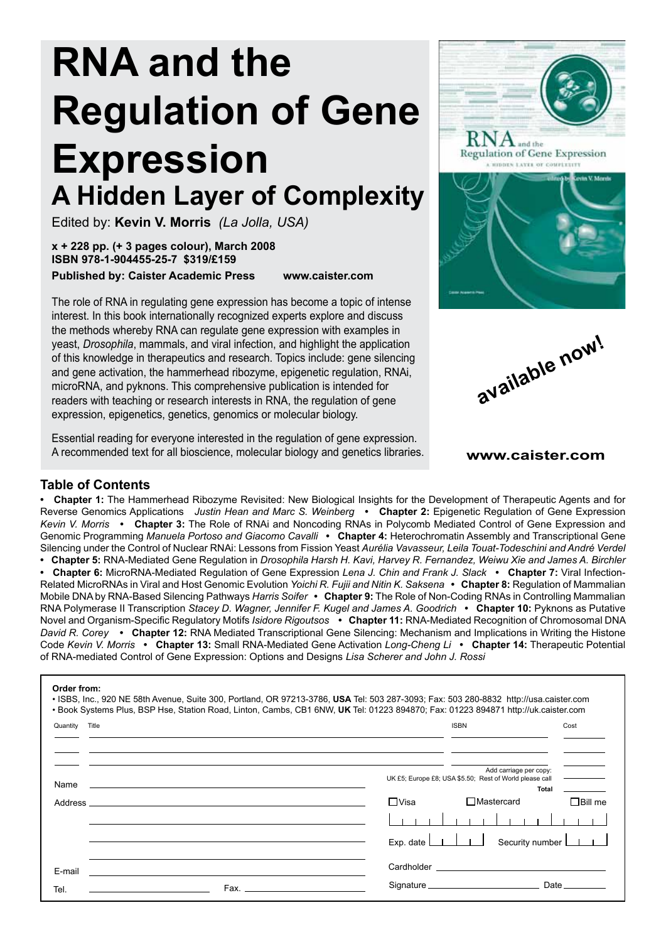# **RNA and the Regulation of Gene Expression A Hidden Layer of Complexity**

Edited by: **Kevin V. Morris** *(La Jolla, USA)*

**x + 228 pp. (+ 3 pages colour), March 2008 ISBN 978-1-904455-25-7 \$319/£159 Published by: Caister Academic Press www.caister.com**

The role of RNA in regulating gene expression has become a topic of intense interest. In this book internationally recognized experts explore and discuss the methods whereby RNA can regulate gene expression with examples in yeast, *Drosophila*, mammals, and viral infection, and highlight the application of this knowledge in therapeutics and research. Topics include: gene silencing and gene activation, the hammerhead ribozyme, epigenetic regulation, RNAi, microRNA, and pyknons. This comprehensive publication is intended for readers with teaching or research interests in RNA, the regulation of gene expression, epigenetics, genetics, genomics or molecular biology.

Essential reading for everyone interested in the regulation of gene expression. A recommended text for all bioscience, molecular biology and genetics libraries.







**www.caister.com**

### **Table of Contents**

**• Chapter 1:** The Hammerhead Ribozyme Revisited: New Biological Insights for the Development of Therapeutic Agents and for Reverse Genomics Applications *Justin Hean and Marc S. Weinberg* **• Chapter 2:** Epigenetic Regulation of Gene Expression *Kevin V. Morris* **• Chapter 3:** The Role of RNAi and Noncoding RNAs in Polycomb Mediated Control of Gene Expression and Genomic Programming *Manuela Portoso and Giacomo Cavalli* **• Chapter 4:** Heterochromatin Assembly and Transcriptional Gene Silencing under the Control of Nuclear RNAi: Lessons from Fission Yeast *Aurélia Vavasseur, Leila Touat-Todeschini and André Verdel*  **• Chapter 5:** RNA-Mediated Gene Regulation in *Drosophila Harsh H. Kavi, Harvey R. Fernandez, Weiwu Xie and James A. Birchler*  **• Chapter 6:** MicroRNA-Mediated Regulation of Gene Expression *Lena J. Chin and Frank J. Slack* **• Chapter 7:** Viral Infection-Related MicroRNAs in Viral and Host Genomic Evolution *Yoichi R. Fujii and Nitin K. Saksena* **• Chapter 8:** Regulation of Mammalian

Mobile DNA by RNA-Based Silencing Pathways *Harris Soifer* **• Chapter 9:** The Role of Non-Coding RNAs in Controlling Mammalian RNA Polymerase II Transcription *Stacey D. Wagner, Jennifer F. Kugel and James A. Goodrich* **• Chapter 10:** Pyknons as Putative Novel and Organism-Specific Regulatory Motifs *Isidore Rigoutsos* **• Chapter 11:** RNA-Mediated Recognition of Chromosomal DNA *David R. Corey* **• Chapter 12:** RNA Mediated Transcriptional Gene Silencing: Mechanism and Implications in Writing the Histone Code *Kevin V. Morris* **• Chapter 13:** Small RNA-Mediated Gene Activation *Long-Cheng Li* **• Chapter 14:** Therapeutic Potential of RNA-mediated Control of Gene Expression: Options and Designs *Lisa Scherer and John J. Rossi*

#### **Order from:**

| Quantity Title                                                                                                               | <b>ISBN</b>                                                                                                                                                                                          | Cost                        |
|------------------------------------------------------------------------------------------------------------------------------|------------------------------------------------------------------------------------------------------------------------------------------------------------------------------------------------------|-----------------------------|
| Name<br><u> 1980 - Jan Samuel Barbara, martin da shekara ta 1980 - An tsara tsara tsara tsara tsara tsara tsara tsara ts</u> | Add carriage per copy:<br>UK £5; Europe £8; USA \$5.50; Rest of World please call                                                                                                                    | <b>Total</b>                |
|                                                                                                                              | $\Box$ Visa<br>$\Box$ Mastercard                                                                                                                                                                     | $\Box$ Bill me              |
|                                                                                                                              |                                                                                                                                                                                                      |                             |
|                                                                                                                              | Exp. date $\Box$                                                                                                                                                                                     | Security number <b>LULL</b> |
| E-mail                                                                                                                       | Cardholder <b>Cardholder Cardholder Cardholder Cardholder Cardholder Cardholder Cardholder Cardholder Cardholder Cardholder Cardholder Cardholder Cardholder Cardholder Cardholder Cardholder Ca</b> |                             |
| Tel.                                                                                                                         |                                                                                                                                                                                                      | Date __________             |